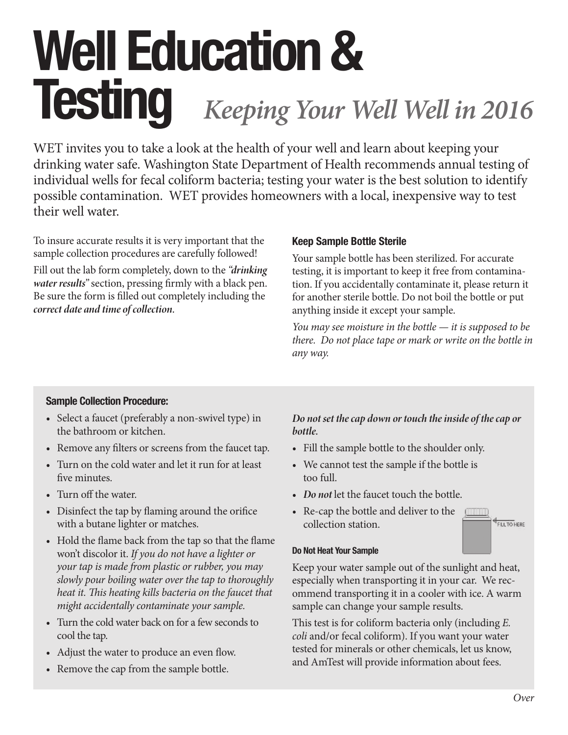# Well Education & **Testing** *Keeping Your Well Well in 2016*

WET invites you to take a look at the health of your well and learn about keeping your drinking water safe. Washington State Department of Health recommends annual testing of individual wells for fecal coliform bacteria; testing your water is the best solution to identify possible contamination. WET provides homeowners with a local, inexpensive way to test their well water.

To insure accurate results it is very important that the sample collection procedures are carefully followed!

Fill out the lab form completely, down to the *"drinking water results"* section, pressing firmly with a black pen. Be sure the form is filled out completely including the *correct date and time of collection.*

## Keep Sample Bottle Sterile

Your sample bottle has been sterilized. For accurate testing, it is important to keep it free from contamination. If you accidentally contaminate it, please return it for another sterile bottle. Do not boil the bottle or put anything inside it except your sample.

*You may see moisture in the bottle — it is supposed to be there. Do not place tape or mark or write on the bottle in any way.*

### Sample Collection Procedure:

- Select a faucet (preferably a non-swivel type) in the bathroom or kitchen.
- Remove any filters or screens from the faucet tap.
- Turn on the cold water and let it run for at least five minutes.
- Turn off the water.
- Disinfect the tap by flaming around the orifice with a butane lighter or matches.
- Hold the flame back from the tap so that the flame won't discolor it. *If you do not have a lighter or your tap is made from plastic or rubber, you may slowly pour boiling water over the tap to thoroughly heat it. This heating kills bacteria on the faucet that might accidentally contaminate your sample.*
- Turn the cold water back on for a few seconds to cool the tap.
- Adjust the water to produce an even flow.
- Remove the cap from the sample bottle.

### *Do not set the cap down or touch the inside of the cap or bottle.*

- Fill the sample bottle to the shoulder only.
- We cannot test the sample if the bottle is too full.
- *Do not* let the faucet touch the bottle.
- Re-cap the bottle and deliver to the collection station.



### Do Not Heat Your Sample

Keep your water sample out of the sunlight and heat, especially when transporting it in your car. We recommend transporting it in a cooler with ice. A warm sample can change your sample results.

This test is for coliform bacteria only (including *E. coli* and/or fecal coliform). If you want your water tested for minerals or other chemicals, let us know, and AmTest will provide information about fees.